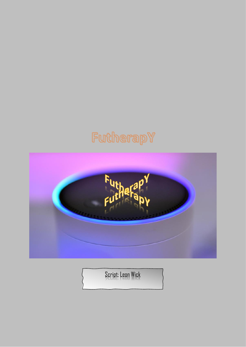## FutherapY



Script: Leon Wick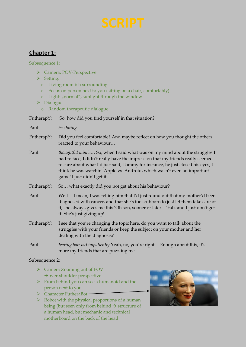## **Chapter 1:**

Subsequence 1:

- ➢ Camera: POV-Perspective
- ➢ Setting:
	- o Living room-ish surrounding
	- o Focus on person next to you (sitting on a chair, comfortably)
	- $\circ$  Light: "normal", sunlight through the window
- ➢ Dialogue
	- o Random therapeutic dialogue

FutherapY: So, how did you find yourself in that situation?

Paul: *hesitating*

- FutherapY: Did you feel comfortable? And maybe reflect on how you thought the others reacted to your behaviour…
- Paul: *thoughtful mimic…* So, when I said what was on my mind about the struggles I had to face, I didn't really have the impression that my friends really seemed to care about what I'd just said, Tommy for instance, he just closed his eyes, I think he was watchin' Apple vs. Android, which wasn't even an important game! I just didn't get it!
- FutherapY: So... what exactly did you not get about his behaviour?
- Paul: Well… I mean, I was telling him that I'd just found out that my mother'd been diagnosed with cancer, and that she's too stubborn to just let them take care of it, she always gives me this 'Oh son, sooner or later…' talk and I just don't get it! She's just giving up!
- FutherapY: I see that you're changing the topic here, do you want to talk about the struggles with your friends or keep the subject on your mother and her dealing with the diagnosis?
- Paul: *tearing hair out impatiently* Yeah, no, you're right… Enough about this, it's more my friends that are puzzling me.

Subsequence 2:

- ➢ Camera Zooming out of POV →over-shoulder perspective
- ➢ From behind you can see a humanoid and the person next to you
- ➢ Character FutheraBot
- $\triangleright$  Robot with the physical proportions of a human being (but seen only from behind  $\rightarrow$  structure of a human head, but mechanic and technical motherboard on the back of the head

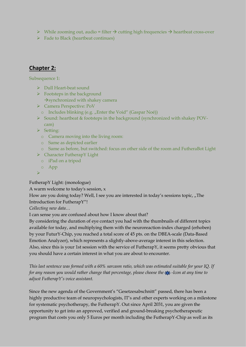- $▶$  While zooming out, audio = filter  $\rightarrow$  cutting high frequencies  $\rightarrow$  heartbeat cross-over
- ➢ Fade to Black (heartbeat continues)

## **Chapter 2:**

Subsequence 1:

- ➢ Dull Heart-beat sound
- $\triangleright$  Footsteps in the background  $\rightarrow$ synchronized with shakey camera
- ➢ Camera Perspective: PoV
- o Includes blinking (e.g. "Enter the Void" (Gaspar Noé))
- ➢ Sound: heartbeat & footsteps in the background (synchronized with shakey POVcam)
- ➢ Setting:
	- o Camera moving into the living room:
	- o Same as depicted earlier
	- o Same as before, but switched: focus on other side of the room and FutheraBot Light
- ➢ Character FutherapY Light
	- o iPad on a tripod
	- o App
- ➢

FutherapY Light: (monologue)

A warm welcome to today's session, x

How are you doing today? Well, I see you are interested in today's sessions topic, "The Introduction for FutherapY"!

*Collecting new data…*

I can sense you are confused about how I know about that?

By considering the duration of eye contact you had with the thumbnails of different topics available for today, and multiplying them with the neuroreaction-index charged (erhoben) by your FuturY-Chip, you reached a total score of 45 pts. on the DBEA-scale (Data-Based Emotion Analyzer), which represents a slightly-above-average interest in this selection. Also, since this is your 1st session with the service of FutherapY, it seems pretty obvious that you should have a certain interest in what you are about to encounter.

*This last sentence was formed with a 60% sarcasm ratio, which was estimated suitable for your IQ. If for any reason you would rather change that percentage, please choose the -Icon at any time to adjust FutherapY's voice assistant.*

Since the new agenda of the Government's "Gesetzesabschnitt" passed, there has been a highly productive team of neuropsychologists, IT's and other experts working on a milestone for systematic psychotherapy, the FutherapY. Out since April 2031, you are given the opportunity to get into an approved, verified and ground-breaking psychotherapeutic program that costs you only 5 Euros per month including the FutherapY-Chip as well as its